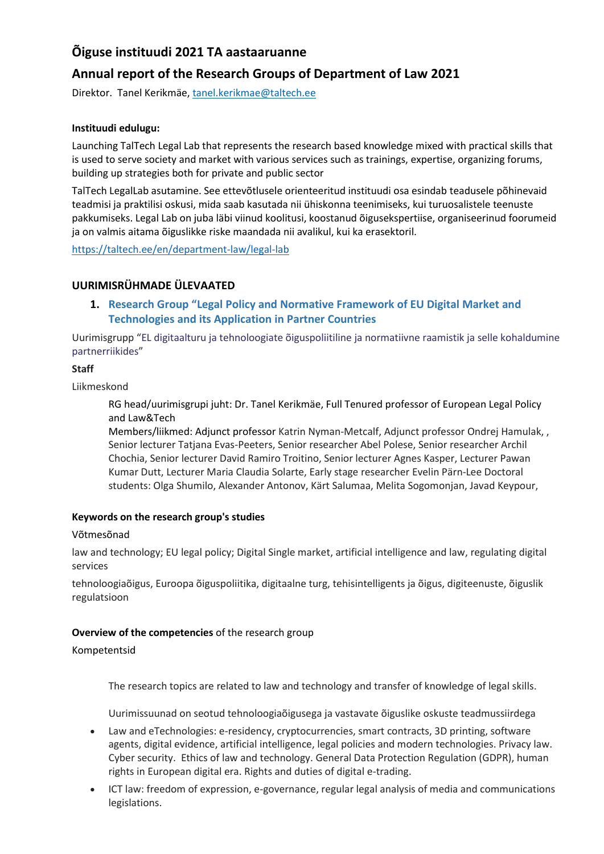# **Õiguse instituudi 2021 TA aastaaruanne**

# **Annual report of the Research Groups of Department of Law 2021**

Direktor. Tanel Kerikmäe, [tanel.kerikmae@taltech.ee](mailto:tanel.kerikmae@taltech.ee)

### **Instituudi edulugu:**

Launching TalTech Legal Lab that represents the research based knowledge mixed with practical skills that is used to serve society and market with various services such as trainings, expertise, organizing forums, building up strategies both for private and public sector

TalTech LegalLab asutamine. See ettevõtlusele orienteeritud instituudi osa esindab teadusele põhinevaid teadmisi ja praktilisi oskusi, mida saab kasutada nii ühiskonna teenimiseks, kui turuosalistele teenuste pakkumiseks. Legal Lab on juba läbi viinud koolitusi, koostanud õigusekspertiise, organiseerinud foorumeid ja on valmis aitama õiguslikke riske maandada nii avalikul, kui ka erasektoril.

<https://taltech.ee/en/department-law/legal-lab>

# **UURIMISRÜHMADE ÜLEVAATED**

**1. Research Group "[Legal Policy and Normative Framework of EU Digital Market and](https://taltech.ee/#p29732)  [Technologies and its Application in Partner Countries](https://taltech.ee/#p29732)**

Uurimisgrupp ["EL digitaalturu ja tehnoloogiate õiguspoliitiline ja normatiivne raamistik ja selle kohaldumine](https://taltech.ee/#p29731)  [partnerriikides](https://taltech.ee/#p29731)"

### **Staff**

Liikmeskond

RG head/uurimisgrupi juht: Dr. Tanel Kerikmäe, Full Tenured professor of European Legal Policy and Law&Tech

Members/liikmed: Adjunct professor Katrin Nyman-Metcalf, Adjunct professor Ondrej Hamulak, , Senior lecturer Tatjana Evas-Peeters, Senior researcher Abel Polese, Senior researcher Archil Chochia, Senior lecturer David Ramiro Troitino, Senior lecturer Agnes Kasper, Lecturer Pawan Kumar Dutt, Lecturer Maria Claudia Solarte, Early stage researcher Evelin Pärn-Lee Doctoral students: Olga Shumilo, Alexander Antonov, Kärt Salumaa, Melita Sogomonjan, Javad Keypour,

#### **Keywords on the research group's studies**

#### Võtmesõnad

law and technology; EU legal policy; Digital Single market, artificial intelligence and law, regulating digital services

tehnoloogiaõigus, Euroopa õiguspoliitika, digitaalne turg, tehisintelligents ja õigus, digiteenuste, õiguslik regulatsioon

# **Overview of the competencies** of the research group

#### Kompetentsid

The research topics are related to law and technology and transfer of knowledge of legal skills.

Uurimissuunad on seotud tehnoloogiaõigusega ja vastavate õiguslike oskuste teadmussiirdega

- Law and eTechnologies: e-residency, cryptocurrencies, smart contracts, 3D printing, software agents, digital evidence, artificial intelligence, legal policies and modern technologies. Privacy law. Cyber security. Ethics of law and technology. General Data Protection Regulation (GDPR), human rights in European digital era. Rights and duties of digital e-trading.
- ICT law: freedom of expression, e-governance, regular legal analysis of media and communications legislations.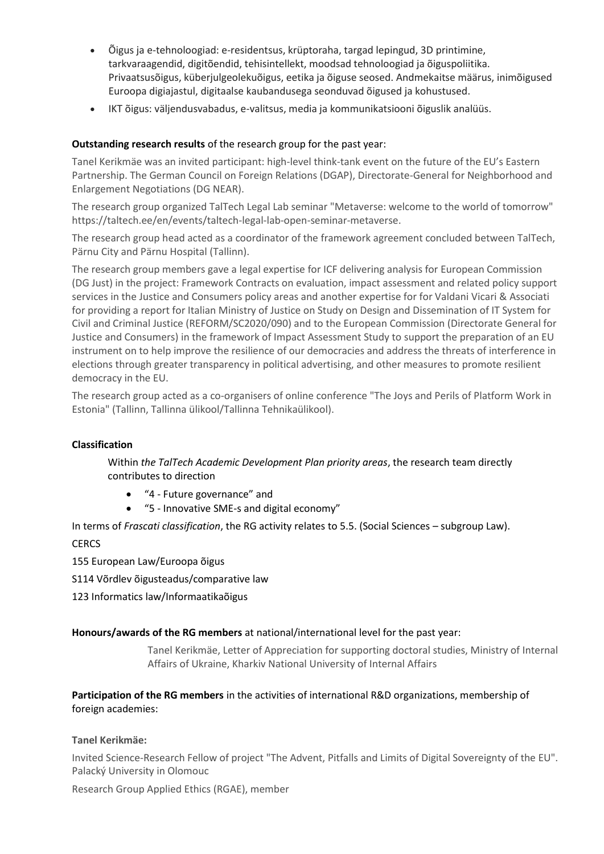- Õigus ja e-tehnoloogiad: e-residentsus, krüptoraha, targad lepingud, 3D printimine, tarkvaraagendid, digitõendid, tehisintellekt, moodsad tehnoloogiad ja õiguspoliitika. Privaatsusõigus, küberjulgeolekuõigus, eetika ja õiguse seosed. Andmekaitse määrus, inimõigused Euroopa digiajastul, digitaalse kaubandusega seonduvad õigused ja kohustused.
- IKT õigus: väljendusvabadus, e-valitsus, media ja kommunikatsiooni õiguslik analüüs.

# **Outstanding research results** of the research group for the past year:

Tanel Kerikmäe was an invited participant: high-level think-tank event on the future of the EU's Eastern Partnership. The German Council on Foreign Relations (DGAP), Directorate-General for Neighborhood and Enlargement Negotiations (DG NEAR).

The research group organized TalTech Legal Lab seminar "Metaverse: welcome to the world of tomorrow" https://taltech.ee/en/events/taltech-legal-lab-open-seminar-metaverse.

The research group head acted as a coordinator of the framework agreement concluded between TalTech, Pärnu City and Pärnu Hospital (Tallinn).

The research group members gave a legal expertise for ICF delivering analysis for European Commission (DG Just) in the project: Framework Contracts on evaluation, impact assessment and related policy support services in the Justice and Consumers policy areas and another expertise for for Valdani Vicari & Associati for providing a report for Italian Ministry of Justice on Study on Design and Dissemination of IT System for Civil and Criminal Justice (REFORM/SC2020/090) and to the European Commission (Directorate General for Justice and Consumers) in the framework of Impact Assessment Study to support the preparation of an EU instrument on to help improve the resilience of our democracies and address the threats of interference in elections through greater transparency in political advertising, and other measures to promote resilient democracy in the EU.

The research group acted as a co-organisers of online conference "The Joys and Perils of Platform Work in Estonia" (Tallinn, Tallinna ülikool/Tallinna Tehnikaülikool).

#### **Classification**

Within *the TalTech Academic Development Plan priority areas*, the research team directly contributes to direction

- "4 Future governance" and
- "5 Innovative SME-s and digital economy"

In terms of *Frascati classification*, the RG activity relates to 5.5. (Social Sciences – subgroup Law).

**CERCS** 

155 European Law/Euroopa õigus

S114 Võrdlev õigusteadus/comparative law

123 Informatics law/Informaatikaõigus

#### **Honours/awards of the RG members** at national/international level for the past year:

Tanel Kerikmäe, Letter of Appreciation for supporting doctoral studies, Ministry of Internal Affairs of Ukraine, Kharkiv National University of Internal Affairs

# **Participation of the RG members** in the activities of international R&D organizations, membership of foreign academies:

# **Tanel Kerikmäe:**

Invited Science-Research Fellow of project "The Advent, Pitfalls and Limits of Digital Sovereignty of the EU". Palacký University in Olomouc

Research Group Applied Ethics (RGAE), member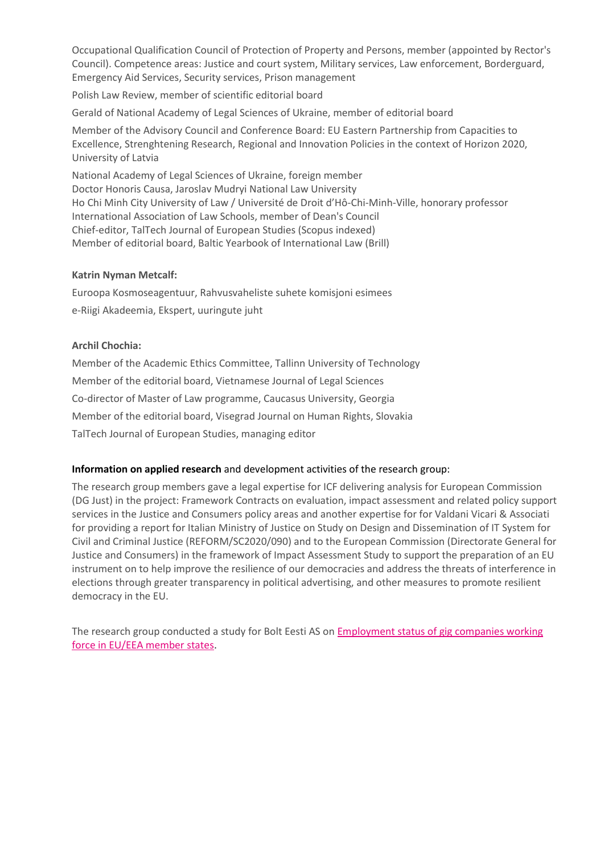Occupational Qualification Council of Protection of Property and Persons, member (appointed by Rector's Council). Competence areas: Justice and court system, Military services, Law enforcement, Borderguard, Emergency Aid Services, Security services, Prison management

Polish Law Review, member of scientific editorial board

Gerald of National Academy of Legal Sciences of Ukraine, member of editorial board

Member of the Advisory Council and Conference Board: EU Eastern Partnership from Capacities to Excellence, Strenghtening Research, Regional and Innovation Policies in the context of Horizon 2020, University of Latvia

National Academy of Legal Sciences of Ukraine, foreign member Doctor Honoris Causa, Jaroslav Mudryi National Law University Ho Chi Minh City University of Law / Université de Droit d'Hô-Chi-Minh-Ville, honorary professor International Association of Law Schools, member of Dean's Council Chief-editor, TalTech Journal of European Studies (Scopus indexed) Member of editorial board, Baltic Yearbook of International Law (Brill)

#### **Katrin Nyman Metcalf:**

Euroopa Kosmoseagentuur, Rahvusvaheliste suhete komisjoni esimees e-Riigi Akadeemia, Ekspert, uuringute juht

### **Archil Chochia:**

Member of the Academic Ethics Committee, Tallinn University of Technology Member of the editorial board, Vietnamese Journal of Legal Sciences Co-director of Master of Law programme, Caucasus University, Georgia Member of the editorial board, Visegrad Journal on Human Rights, Slovakia TalTech Journal of European Studies, managing editor

#### **Information on applied research** and development activities of the research group:

The research group members gave a legal expertise for ICF delivering analysis for European Commission (DG Just) in the project: Framework Contracts on evaluation, impact assessment and related policy support services in the Justice and Consumers policy areas and another expertise for for Valdani Vicari & Associati for providing a report for Italian Ministry of Justice on Study on Design and Dissemination of IT System for Civil and Criminal Justice (REFORM/SC2020/090) and to the European Commission (Directorate General for Justice and Consumers) in the framework of Impact Assessment Study to support the preparation of an EU instrument on to help improve the resilience of our democracies and address the threats of interference in elections through greater transparency in political advertising, and other measures to promote resilient democracy in the EU.

The research group conducted a study for Bolt Eesti AS on Employment status of [gig companies working](https://haldus.taltech.ee/sites/default/files/2021-10/Employment%20status%20of%20gig%20companies%20working%20force%20in%20EUEEA%20member%20states.pdf?_ga=2.176620005.1142398768.1643624937-1304841780.1643121972)  [force in EU/EEA member states.](https://haldus.taltech.ee/sites/default/files/2021-10/Employment%20status%20of%20gig%20companies%20working%20force%20in%20EUEEA%20member%20states.pdf?_ga=2.176620005.1142398768.1643624937-1304841780.1643121972)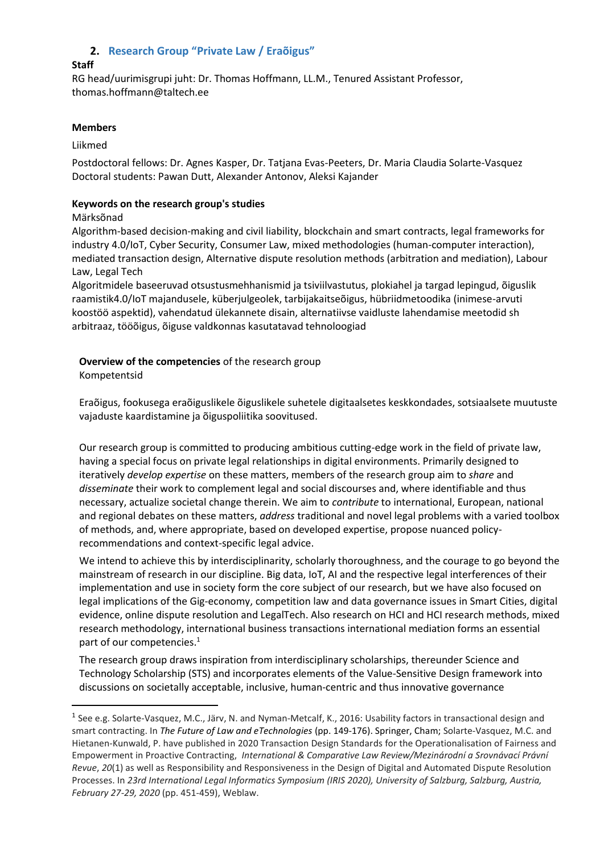# **2. Research Group "Private Law / Eraõigus"**

# **Staff**

RG head/uurimisgrupi juht: Dr. Thomas Hoffmann, LL.M., Tenured Assistant Professor, [thomas.hoffmann@taltech.ee](mailto:thomas.hoffmann@taltech.ee)

#### **Members**

Liikmed

Postdoctoral fellows: Dr. Agnes Kasper, Dr. Tatjana Evas-Peeters, Dr. Maria Claudia Solarte-Vasquez Doctoral students: Pawan Dutt, Alexander Antonov, Aleksi Kajander

### **Keywords on the research group's studies**

Märksõnad

Algorithm-based decision-making and civil liability, blockchain and smart contracts, legal frameworks for industry 4.0/IoT, Cyber Security, Consumer Law, mixed methodologies (human-computer interaction), mediated transaction design, Alternative dispute resolution methods (arbitration and mediation), Labour Law, Legal Tech

Algoritmidele baseeruvad otsustusmehhanismid ja tsiviilvastutus, plokiahel ja targad lepingud, õiguslik raamistik4.0/IoT majandusele, küberjulgeolek, tarbijakaitseõigus, hübriidmetoodika (inimese-arvuti koostöö aspektid), vahendatud ülekannete disain, alternatiivse vaidluste lahendamise meetodid sh arbitraaz, tööõigus, õiguse valdkonnas kasutatavad tehnoloogiad

**Overview of the competencies** of the research group

Kompetentsid

Eraõigus, fookusega eraõiguslikele õiguslikele suhetele digitaalsetes keskkondades, sotsiaalsete muutuste vajaduste kaardistamine ja õiguspoliitika soovitused.

Our research group is committed to producing ambitious cutting-edge work in the field of private law, having a special focus on private legal relationships in digital environments. Primarily designed to iteratively *develop expertise* on these matters, members of the research group aim to *share* and *disseminate* their work to complement legal and social discourses and, where identifiable and thus necessary, actualize societal change therein. We aim to *contribute* to international, European, national and regional debates on these matters, *address* traditional and novel legal problems with a varied toolbox of methods, and, where appropriate, based on developed expertise, propose nuanced policyrecommendations and context-specific legal advice.

We intend to achieve this by interdisciplinarity, scholarly thoroughness, and the courage to go beyond the mainstream of research in our discipline. Big data, IoT, AI and the respective legal interferences of their implementation and use in society form the core subject of our research, but we have also focused on legal implications of the Gig-economy, competition law and data governance issues in Smart Cities, digital evidence, online dispute resolution and LegalTech. Also research on HCI and HCI research methods, mixed research methodology, international business transactions international mediation forms an essential part of our competencies.<sup>1</sup>

The research group draws inspiration from interdisciplinary scholarships, thereunder Science and Technology Scholarship (STS) and incorporates elements of the Value-Sensitive Design framework into discussions on societally acceptable, inclusive, human-centric and thus innovative governance

<sup>&</sup>lt;sup>1</sup> See e.g. Solarte-Vasquez, M.C., Järv, N. and Nyman-Metcalf, K., 2016: Usability factors in transactional design and smart contracting. In *The Future of Law and eTechnologies* (pp. 149-176). Springer, Cham; Solarte-Vasquez, M.C. and Hietanen-Kunwald, P. have published in 2020 Transaction Design Standards for the Operationalisation of Fairness and Empowerment in Proactive Contracting, *International & Comparative Law Review/Mezinárodní a Srovnávací Právní Revue*, *20*(1) as well as Responsibility and Responsiveness in the Design of Digital and Automated Dispute Resolution Processes. In *23rd International Legal Informatics Symposium (IRIS 2020), University of Salzburg, Salzburg, Austria, February 27-29, 2020* (pp. 451-459), Weblaw.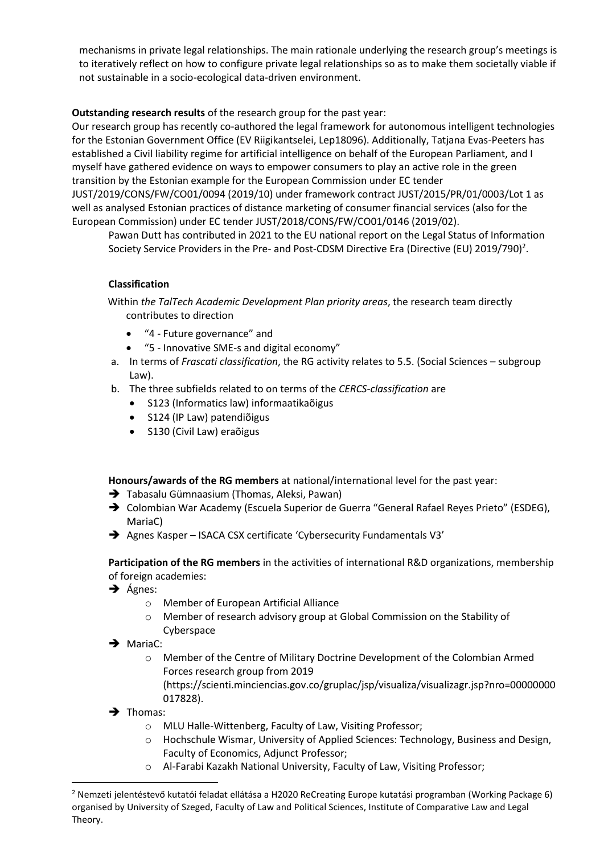mechanisms in private legal relationships. The main rationale underlying the research group's meetings is to iteratively reflect on how to configure private legal relationships so as to make them societally viable if not sustainable in a socio-ecological data-driven environment.

# **Outstanding research results** of the research group for the past year:

Our research group has recently co-authored the legal framework for autonomous intelligent technologies for the Estonian Government Office (EV Riigikantselei, Lep18096). Additionally, Tatjana Evas-Peeters has established a Civil liability regime for artificial intelligence on behalf of the European Parliament, and I myself have gathered evidence on ways to empower consumers to play an active role in the green transition by the Estonian example for the European Commission under EC tender JUST/2019/CONS/FW/CO01/0094 (2019/10) under framework contract JUST/2015/PR/01/0003/Lot 1 as well as analysed Estonian practices of distance marketing of consumer financial services (also for the European Commission) under EC tender JUST/2018/CONS/FW/CO01/0146 (2019/02).

Pawan Dutt has contributed in 2021 to the EU national report on the Legal Status of Information Society Service Providers in the Pre- and Post-CDSM Directive Era (Directive (EU) 2019/790)<sup>2</sup>.

# **Classification**

Within *the TalTech Academic Development Plan priority areas*, the research team directly contributes to direction

- "4 Future governance" and
- "5 Innovative SME-s and digital economy"
- a. In terms of *Frascati classification*, the RG activity relates to 5.5. (Social Sciences subgroup Law).
- b. The three subfields related to on terms of the *CERCS-classification* are
	- S123 (Informatics law) informaatikaõigus
	- S124 (IP Law) patendiõigus
	- S130 (Civil Law) eraõigus

**Honours/awards of the RG members** at national/international level for the past year:

- **→** Tabasalu Gümnaasium (Thomas, Aleksi, Pawan)
- ➔ Colombian War Academy (Escuela Superior de Guerra "General Rafael Reyes Prieto" (ESDEG), MariaC)
- ➔ Agnes Kasper ISACA CSX certificate 'Cybersecurity Fundamentals V3'

**Participation of the RG members** in the activities of international R&D organizations, membership of foreign academies:

- ➔ Ágnes:
	- o Member of European Artificial Alliance
	- o Member of research advisory group at Global Commission on the Stability of Cyberspace
- → MariaC:
	- o Member of the Centre of Military Doctrine Development of the Colombian Armed Forces research group from 2019
		- [\(https://scienti.minciencias.gov.co/gruplac/jsp/visualiza/visualizagr.jsp?nro=00000000](https://scienti.minciencias.gov.co/gruplac/jsp/visualiza/visualizagr.jsp?nro=00000000017828&fbclid=IwAR2EyraBstfGC4EAi46PaDICLcmPIoHFzcSNYHb4s-SAOLDHITdnJ6SZvVk) [017828\)](https://scienti.minciencias.gov.co/gruplac/jsp/visualiza/visualizagr.jsp?nro=00000000017828&fbclid=IwAR2EyraBstfGC4EAi46PaDICLcmPIoHFzcSNYHb4s-SAOLDHITdnJ6SZvVk).
- $\rightarrow$  Thomas:
	- o MLU Halle-Wittenberg, Faculty of Law, Visiting Professor;
	- o Hochschule Wismar, University of Applied Sciences: Technology, Business and Design, Faculty of Economics, Adjunct Professor;
	- o Al-Farabi Kazakh National University, Faculty of Law, Visiting Professor;

<sup>2</sup> Nemzeti jelentéstevő kutatói feladat ellátása a H2020 ReCreating Europe kutatási programban (Working Package 6) organised by University of Szeged, Faculty of Law and Political Sciences, Institute of Comparative Law and Legal Theory.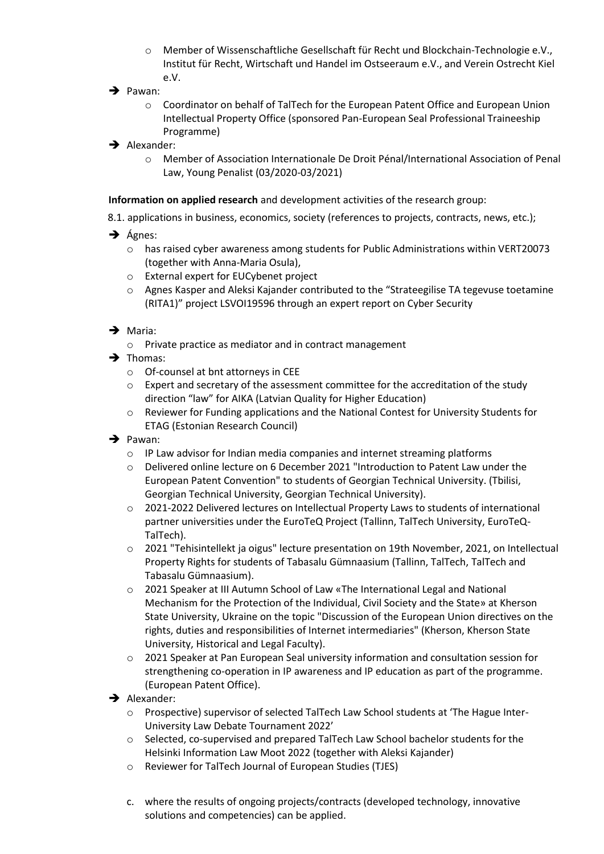- o Member of Wissenschaftliche Gesellschaft für Recht und Blockchain-Technologie e.V., Institut für Recht, Wirtschaft und Handel im Ostseeraum e.V., and Verein Ostrecht Kiel e.V.
- ➔ Pawan:
	- o Coordinator on behalf of TalTech for the European Patent Office and European Union Intellectual Property Office (sponsored Pan-European Seal Professional Traineeship Programme)
- **→** Alexander:
	- o Member of Association Internationale De Droit Pénal/International Association of Penal Law, Young Penalist (03/2020-03/2021)

**Information on applied research** and development activities of the research group:

- 8.1. applications in business, economics, society (references to projects, contracts, news, etc.);
- $\rightarrow$  Ágnes:
	- o has raised cyber awareness among students for Public Administrations within VERT20073 (together with Anna-Maria Osula),
	- o External expert for EUCybenet project
	- o Agnes Kasper and Aleksi Kajander contributed to the "Strateegilise TA tegevuse toetamine (RITA1)" project LSVOI19596 through an expert report on Cyber Security
- ➔ Maria:
	- o Private practice as mediator and in contract management
- ➔ Thomas:
	- o Of-counsel at bnt attorneys in CEE
	- $\circ$  Expert and secretary of the assessment committee for the accreditation of the study direction "law" for AIKA (Latvian Quality for Higher Education)
	- o Reviewer for Funding applications and the National Contest for University Students for ETAG (Estonian Research Council)
- ➔ Pawan:
	- o IP Law advisor for Indian media companies and internet streaming platforms
	- o Delivered online lecture on 6 December 2021 "Introduction to Patent Law under the European Patent Convention" to students of Georgian Technical University. (Tbilisi, Georgian Technical University, Georgian Technical University).
	- o 2021-2022 Delivered lectures on Intellectual Property Laws to students of international partner universities under the EuroTeQ Project (Tallinn, TalTech University, EuroTeQ-TalTech).
	- $\circ$  2021 "Tehisintellekt ja oigus" lecture presentation on 19th November, 2021, on Intellectual Property Rights for students of Tabasalu Gümnaasium (Tallinn, TalTech, TalTech and Tabasalu Gümnaasium).
	- o 2021 Speaker at III Autumn School of Law «The International Legal and National Mechanism for the Protection of the Individual, Civil Society and the State» at Kherson State University, Ukraine on the topic "Discussion of the European Union directives on the rights, duties and responsibilities of Internet intermediaries" (Kherson, Kherson State University, Historical and Legal Faculty).
	- o 2021 Speaker at Pan European Seal university information and consultation session for strengthening co-operation in IP awareness and IP education as part of the programme. (European Patent Office).
- → Alexander:
	- o Prospective) supervisor of selected TalTech Law School students at 'The Hague Inter-University Law Debate Tournament 2022'
	- o Selected, co-supervised and prepared TalTech Law School bachelor students for the Helsinki Information Law Moot 2022 (together with Aleksi Kajander)
	- o Reviewer for TalTech Journal of European Studies (TJES)
	- c. where the results of ongoing projects/contracts (developed technology, innovative solutions and competencies) can be applied.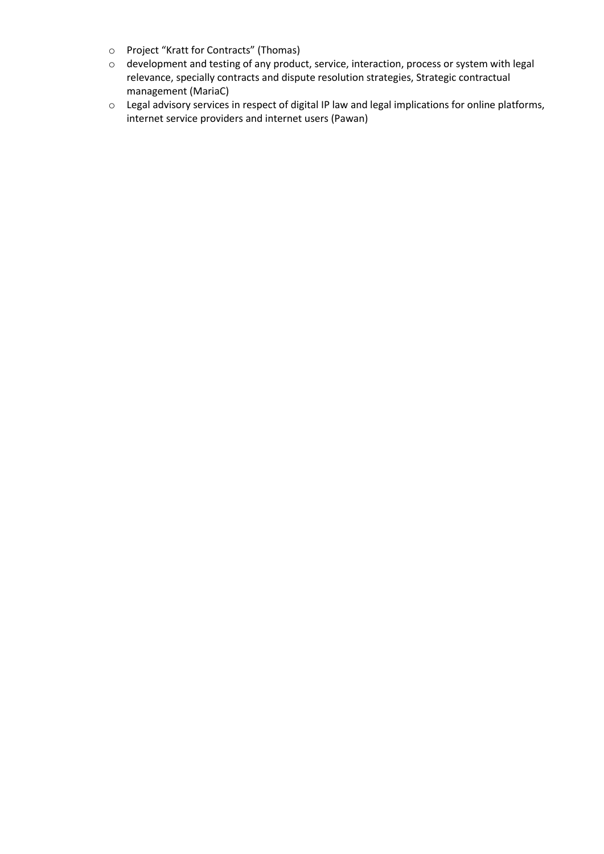- o Project "Kratt for Contracts" (Thomas)
- o development and testing of any product, service, interaction, process or system with legal relevance, specially contracts and dispute resolution strategies, Strategic contractual management (MariaC)
- o Legal advisory services in respect of digital IP law and legal implications for online platforms, internet service providers and internet users (Pawan)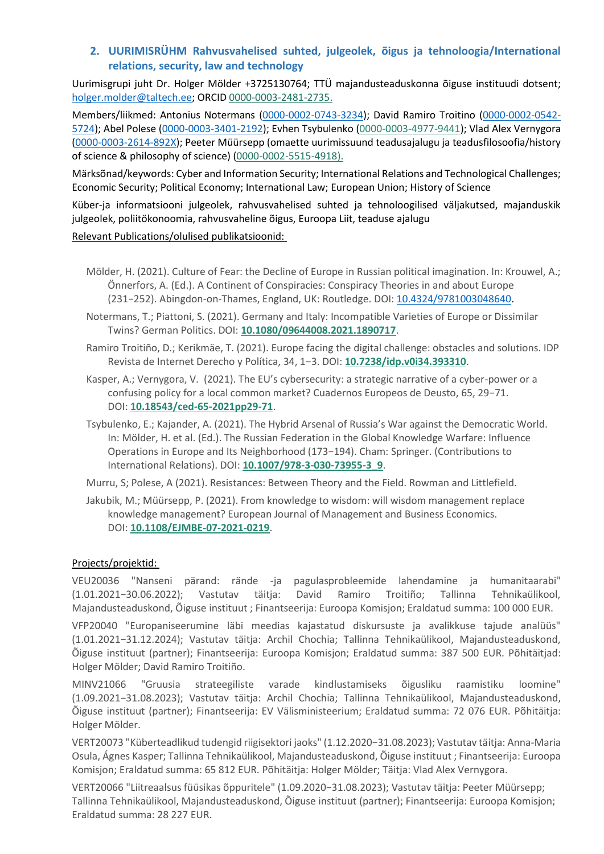# **2. UURIMISRÜHM Rahvusvahelised suhted, julgeolek, õigus ja tehnoloogia/International relations, security, law and technology**

Uurimisgrupi juht Dr. Holger Mölder +3725130764; TTÜ majandusteaduskonna õiguse instituudi dotsent; [holger.molder@taltech.ee;](mailto:holger.molder@taltech.ee) ORCID 0000-0003-2481-2735.

Members/liikmed: Antonius Notermans [\(0000-0002-0743-3234\)](https://orcid.org/0000-0002-0743-3234); David Ramiro Troitino [\(0000-0002-0542-](https://orcid.org/0000-0002-0542-5724) [5724\)](https://orcid.org/0000-0002-0542-5724); Abel Polese [\(0000-0003-3401-2192\)](https://orcid.org/0000-0003-3401-2192); Evhen Tsybulenko [\(0000-0003-4977-9441\)](http://orcid.org/0000-0003-4977-9441); Vlad Alex Vernygora [\(0000-0003-2614-892X\)](https://orcid.org/0000-0003-2614-892X); Peeter Müürsepp (omaette uurimissuund teadusajalugu ja teadusfilosoofia/history of science & philosophy of science) (0000-0002-5515-4918).

Märksõnad/keywords: Cyber and Information Security; International Relations and Technological Challenges; Economic Security; Political Economy; International Law; European Union; History of Science

Küber-ja informatsiooni julgeolek, rahvusvahelised suhted ja tehnoloogilised väljakutsed, majanduskik julgeolek, poliitökonoomia, rahvusvaheline õigus, Euroopa Liit, teaduse ajalugu

### Relevant Publications/olulised publikatsioonid:

- Mölder, H. (2021). Culture of Fear: the Decline of Europe in Russian political imagination. In: Krouwel, A.; Önnerfors, A. (Ed.). A Continent of Conspiracies: Conspiracy Theories in and about Europe (231−252). Abingdon-on-Thames, England, UK: Routledge. DOI: [10.4324/9781003048640.](https://doi.org/10.4324/9781003048640)
- Notermans, T.; Piattoni, S. (2021). Germany and Italy: Incompatible Varieties of Europe or Dissimilar Twins? German Politics. DOI: **[10.1080/09644008.2021.1890717](http://doi.org/10.1080/09644008.2021.1890717)**.
- Ramiro Troitiño, D.; Kerikmäe, T. (2021). Europe facing the digital challenge: obstacles and solutions. IDP Revista de Internet Derecho y Política, 34, 1−3. DOI: **[10.7238/idp.v0i34.393310](http://dx.doi.org/10.7238/idp.v0i34.393310)**.
- Kasper, A.; Vernygora, V. (2021). The EU's cybersecurity: a strategic narrative of a cyber-power or a confusing policy for a local common market? Cuadernos Europeos de Deusto, 65, 29−71. DOI: **[10.18543/ced-65-2021pp29-71](https://doi.org/10.18543/ced-65-2021pp29-71)**.
- Tsybulenko, Е.; Kajander, A. (2021). The Hybrid Arsenal of Russia's War against the Democratic World. In: Mölder, H. et al. (Ed.). The Russian Federation in the Global Knowledge Warfare: Influence Operations in Europe and Its Neighborhood (173−194). Cham: Springer. (Contributions to International Relations). DOI: **[10.1007/978-3-030-73955-3\\_9](https://doi.org/10.1007/978-3-030-73955-3_9)**.

Murru, S; Polese, A (2021). Resistances: Between Theory and the Field. Rowman and Littlefield.

Jakubik, M.; Müürsepp, P. (2021). From knowledge to wisdom: will wisdom management replace knowledge management? European Journal of Management and Business Economics. DOI: **[10.1108/EJMBE-07-2021-0219](http://dx.doi.org/10.1108/EJMBE-07-2021-0219)**.

# Projects/projektid:

VEU20036 "Nanseni pärand: rände -ja pagulasprobleemide lahendamine ja humanitaarabi" (1.01.2021−30.06.2022); Vastutav täitja: David Ramiro Troitiño; Tallinna Tehnikaülikool, Majandusteaduskond, Õiguse instituut ; Finantseerija: Euroopa Komisjon; Eraldatud summa: 100 000 EUR.

VFP20040 "Europaniseerumine läbi meedias kajastatud diskursuste ja avalikkuse tajude analüüs" (1.01.2021−31.12.2024); Vastutav täitja: Archil Chochia; Tallinna Tehnikaülikool, Majandusteaduskond, Õiguse instituut (partner); Finantseerija: Euroopa Komisjon; Eraldatud summa: 387 500 EUR. Põhitäitjad: Holger Mölder; David Ramiro Troitiño.

MINV21066 "Gruusia strateegiliste varade kindlustamiseks õigusliku raamistiku loomine" (1.09.2021−31.08.2023); Vastutav täitja: Archil Chochia; Tallinna Tehnikaülikool, Majandusteaduskond, Õiguse instituut (partner); Finantseerija: EV Välisministeerium; Eraldatud summa: 72 076 EUR. Põhitäitja: Holger Mölder.

VERT20073 "Küberteadlikud tudengid riigisektori jaoks" (1.12.2020−31.08.2023); Vastutav täitja: Anna-Maria Osula, Ágnes Kasper; Tallinna Tehnikaülikool, Majandusteaduskond, Õiguse instituut ; Finantseerija: Euroopa Komisjon; Eraldatud summa: 65 812 EUR. Põhitäitja: Holger Mölder; Täitja: Vlad Alex Vernygora.

VERT20066 "Liitreaalsus füüsikas õppuritele" (1.09.2020−31.08.2023); Vastutav täitja: Peeter Müürsepp; Tallinna Tehnikaülikool, Majandusteaduskond, Õiguse instituut (partner); Finantseerija: Euroopa Komisjon; Eraldatud summa: 28 227 EUR.